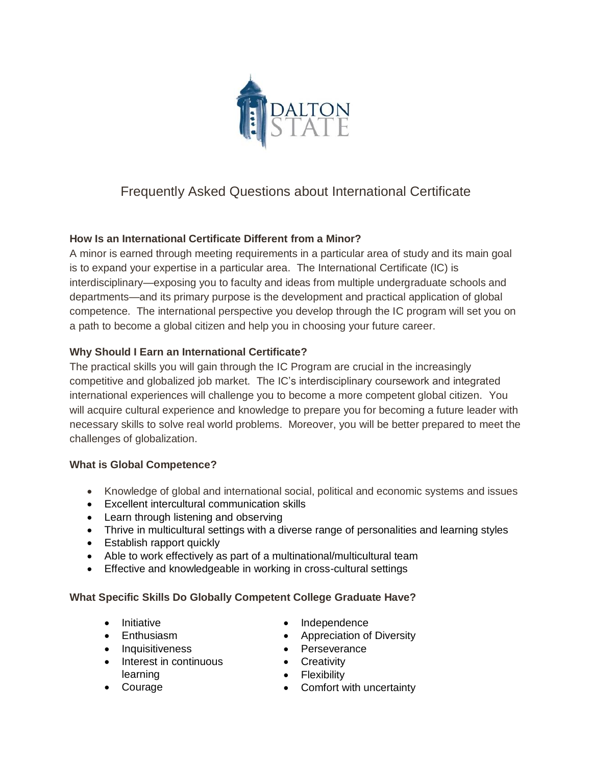

# Frequently Asked Questions about International Certificate

## **How Is an International Certificate Different from a Minor?**

A minor is earned through meeting requirements in a particular area of study and its main goal is to expand your expertise in a particular area. The International Certificate (IC) is interdisciplinary—exposing you to faculty and ideas from multiple undergraduate schools and departments—and its primary purpose is the development and practical application of global competence. The international perspective you develop through the IC program will set you on a path to become a global citizen and help you in choosing your future career.

#### **Why Should I Earn an International Certificate?**

The practical skills you will gain through the IC Program are crucial in the increasingly competitive and globalized job market. The IC's interdisciplinary coursework and integrated international experiences will challenge you to become a more competent global citizen. You will acquire cultural experience and knowledge to prepare you for becoming a future leader with necessary skills to solve real world problems. Moreover, you will be better prepared to meet the challenges of globalization.

#### **What is Global Competence?**

- Knowledge of global and international social, political and economic systems and issues
- Excellent intercultural communication skills
- Learn through listening and observing
- Thrive in multicultural settings with a diverse range of personalities and learning styles
- Establish rapport quickly
- Able to work effectively as part of a multinational/multicultural team
- Effective and knowledgeable in working in cross-cultural settings

#### **What Specific Skills Do Globally Competent College Graduate Have?**

- Initiative
- Enthusiasm
- Inquisitiveness
- Interest in continuous learning
- Courage
- Independence
- Appreciation of Diversity
- Perseverance
- Creativity
- Flexibility
- Comfort with uncertainty